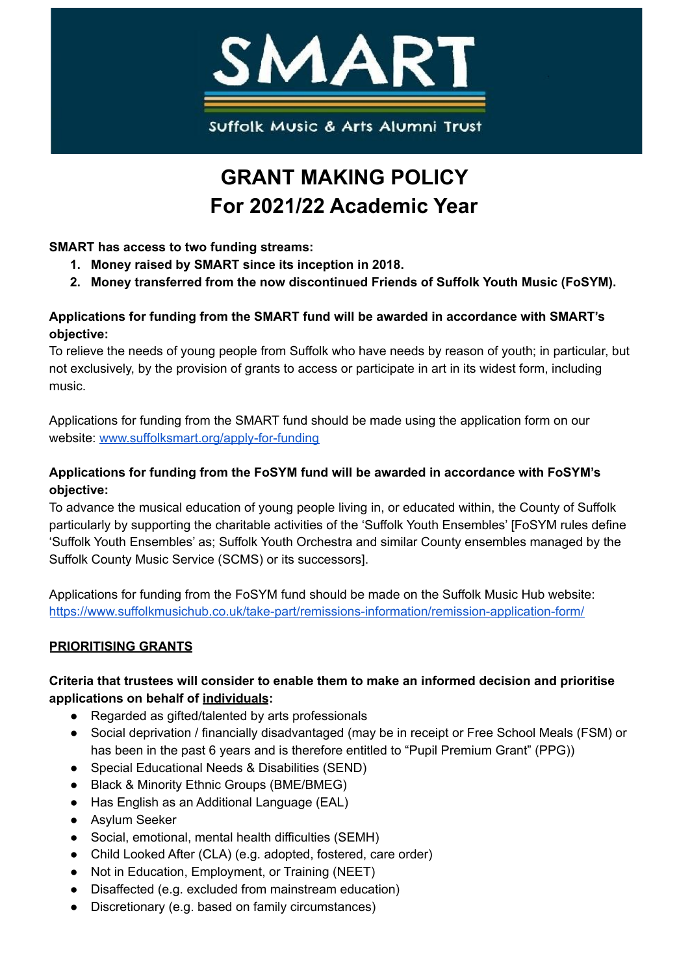

# **GRANT MAKING POLICY For 2021/22 Academic Year**

# **SMART has access to two funding streams:**

- **1. Money raised by SMART since its inception in 2018.**
- **2. Money transferred from the now discontinued Friends of Suffolk Youth Music (FoSYM).**

## **Applications for funding from the SMART fund will be awarded in accordance with SMART's objective:**

To relieve the needs of young people from Suffolk who have needs by reason of youth; in particular, but not exclusively, by the provision of grants to access or participate in art in its widest form, including music.

Applications for funding from the SMART fund should be made using the application form on our website: [www.suffolksmart.org/apply-for-funding](http://www.suffolksmart.org/apply-for-funding)

# **Applications for funding from the FoSYM fund will be awarded in accordance with FoSYM's objective:**

To advance the musical education of young people living in, or educated within, the County of Suffolk particularly by supporting the charitable activities of the 'Suffolk Youth Ensembles' [FoSYM rules define 'Suffolk Youth Ensembles' as; Suffolk Youth Orchestra and similar County ensembles managed by the Suffolk County Music Service (SCMS) or its successors].

Applications for funding from the FoSYM fund should be made on the Suffolk Music Hub website: <https://www.suffolkmusichub.co.uk/take-part/remissions-information/remission-application-form/>

# **PRIORITISING GRANTS**

## **Criteria that trustees will consider to enable them to make an informed decision and prioritise applications on behalf of individuals:**

- Regarded as gifted/talented by arts professionals
- Social deprivation / financially disadvantaged (may be in receipt or Free School Meals (FSM) or has been in the past 6 years and is therefore entitled to "Pupil Premium Grant" (PPG))
- Special Educational Needs & Disabilities (SEND)
- Black & Minority Ethnic Groups (BME/BMEG)
- Has English as an Additional Language (EAL)
- Asylum Seeker
- Social, emotional, mental health difficulties (SEMH)
- Child Looked After (CLA) (e.g. adopted, fostered, care order)
- Not in Education, Employment, or Training (NEET)
- Disaffected (e.g. excluded from mainstream education)
- Discretionary (e.g. based on family circumstances)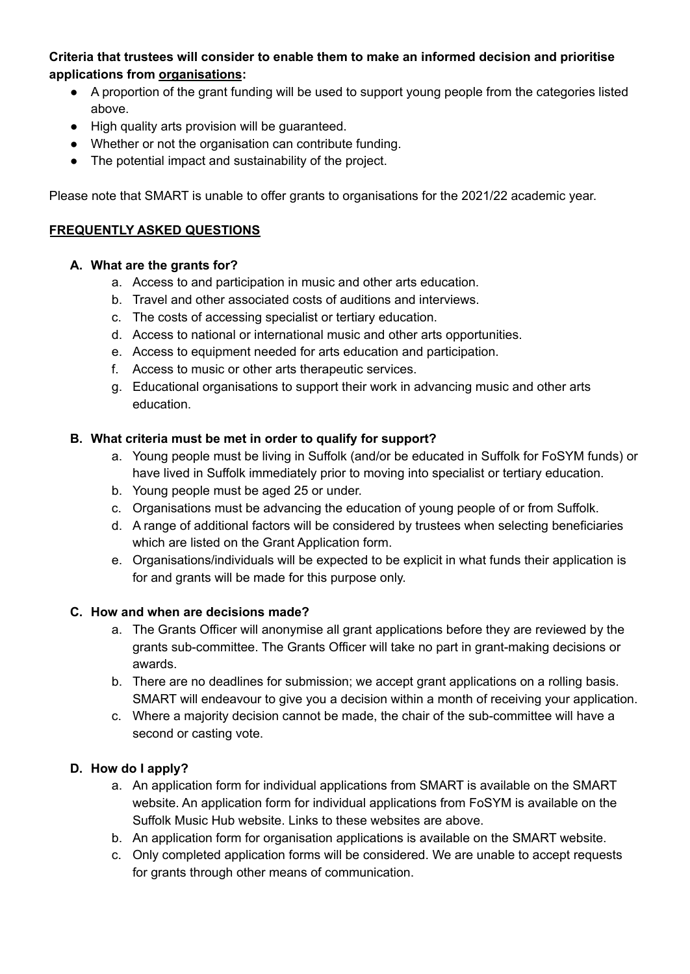## **Criteria that trustees will consider to enable them to make an informed decision and prioritise applications from organisations:**

- A proportion of the grant funding will be used to support young people from the categories listed above.
- High quality arts provision will be guaranteed.
- Whether or not the organisation can contribute funding.
- The potential impact and sustainability of the project.

Please note that SMART is unable to offer grants to organisations for the 2021/22 academic year.

#### **FREQUENTLY ASKED QUESTIONS**

#### **A. What are the grants for?**

- a. Access to and participation in music and other arts education.
- b. Travel and other associated costs of auditions and interviews.
- c. The costs of accessing specialist or tertiary education.
- d. Access to national or international music and other arts opportunities.
- e. Access to equipment needed for arts education and participation.
- f. Access to music or other arts therapeutic services.
- g. Educational organisations to support their work in advancing music and other arts education.

#### **B. What criteria must be met in order to qualify for support?**

- a. Young people must be living in Suffolk (and/or be educated in Suffolk for FoSYM funds) or have lived in Suffolk immediately prior to moving into specialist or tertiary education.
- b. Young people must be aged 25 or under.
- c. Organisations must be advancing the education of young people of or from Suffolk.
- d. A range of additional factors will be considered by trustees when selecting beneficiaries which are listed on the Grant Application form.
- e. Organisations/individuals will be expected to be explicit in what funds their application is for and grants will be made for this purpose only.

#### **C. How and when are decisions made?**

- a. The Grants Officer will anonymise all grant applications before they are reviewed by the grants sub-committee. The Grants Officer will take no part in grant-making decisions or awards.
- b. There are no deadlines for submission; we accept grant applications on a rolling basis. SMART will endeavour to give you a decision within a month of receiving your application.
- c. Where a majority decision cannot be made, the chair of the sub-committee will have a second or casting vote.

#### **D. How do I apply?**

- a. An application form for individual applications from SMART is available on the SMART website. An application form for individual applications from FoSYM is available on the Suffolk Music Hub website. Links to these websites are above.
- b. An application form for organisation applications is available on the SMART website.
- c. Only completed application forms will be considered. We are unable to accept requests for grants through other means of communication.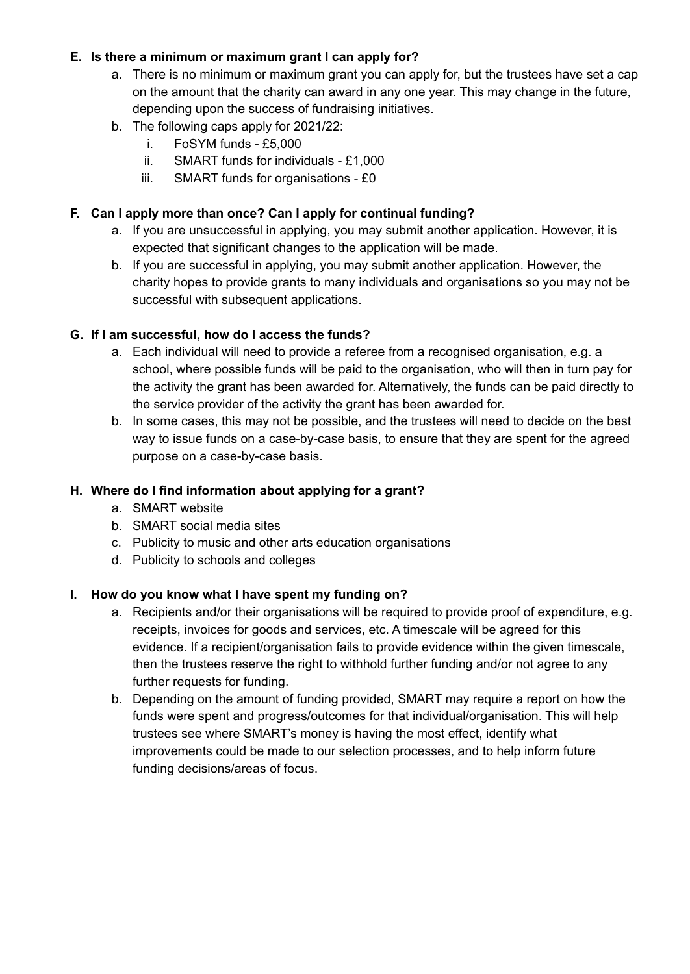## **E. Is there a minimum or maximum grant I can apply for?**

- a. There is no minimum or maximum grant you can apply for, but the trustees have set a cap on the amount that the charity can award in any one year. This may change in the future, depending upon the success of fundraising initiatives.
- b. The following caps apply for 2021/22:
	- i. FoSYM funds £5,000
	- ii. SMART funds for individuals £1,000
	- iii. SMART funds for organisations £0

# **F. Can I apply more than once? Can I apply for continual funding?**

- a. If you are unsuccessful in applying, you may submit another application. However, it is expected that significant changes to the application will be made.
- b. If you are successful in applying, you may submit another application. However, the charity hopes to provide grants to many individuals and organisations so you may not be successful with subsequent applications.

#### **G. If I am successful, how do I access the funds?**

- a. Each individual will need to provide a referee from a recognised organisation, e.g. a school, where possible funds will be paid to the organisation, who will then in turn pay for the activity the grant has been awarded for. Alternatively, the funds can be paid directly to the service provider of the activity the grant has been awarded for.
- b. In some cases, this may not be possible, and the trustees will need to decide on the best way to issue funds on a case-by-case basis, to ensure that they are spent for the agreed purpose on a case-by-case basis.

## **H. Where do I find information about applying for a grant?**

- a. SMART website
- b. SMART social media sites
- c. Publicity to music and other arts education organisations
- d. Publicity to schools and colleges

#### **I. How do you know what I have spent my funding on?**

- a. Recipients and/or their organisations will be required to provide proof of expenditure, e.g. receipts, invoices for goods and services, etc. A timescale will be agreed for this evidence. If a recipient/organisation fails to provide evidence within the given timescale, then the trustees reserve the right to withhold further funding and/or not agree to any further requests for funding.
- b. Depending on the amount of funding provided, SMART may require a report on how the funds were spent and progress/outcomes for that individual/organisation. This will help trustees see where SMART's money is having the most effect, identify what improvements could be made to our selection processes, and to help inform future funding decisions/areas of focus.